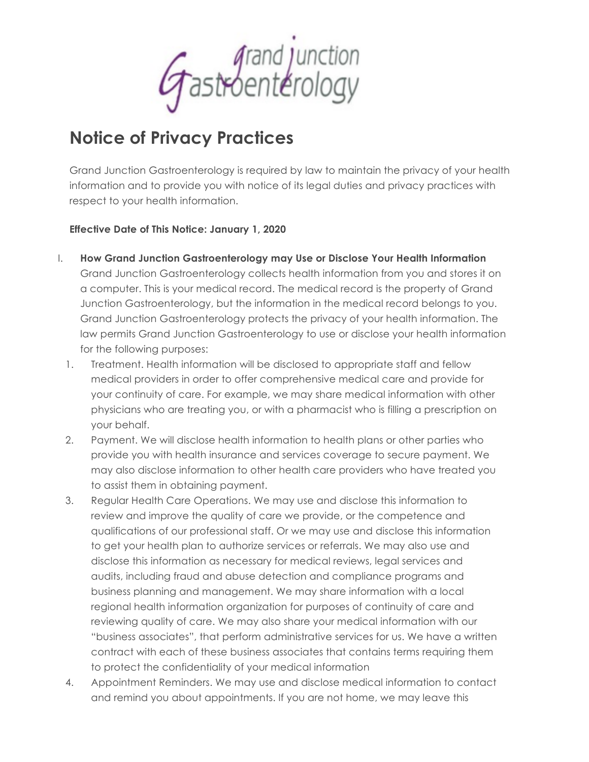frand junction<br>fastroenterology

## **Notice of Privacy Practices**

Grand Junction Gastroenterology is required by law to maintain the privacy of your health information and to provide you with notice of its legal duties and privacy practices with respect to your health information.

## **Effective Date of This Notice: January 1, 2020**

- I. **How Grand Junction Gastroenterology may Use or Disclose Your Health Information** Grand Junction Gastroenterology collects health information from you and stores it on a computer. This is your medical record. The medical record is the property of Grand Junction Gastroenterology, but the information in the medical record belongs to you. Grand Junction Gastroenterology protects the privacy of your health information. The law permits Grand Junction Gastroenterology to use or disclose your health information for the following purposes:
	- 1. Treatment. Health information will be disclosed to appropriate staff and fellow medical providers in order to offer comprehensive medical care and provide for your continuity of care. For example, we may share medical information with other physicians who are treating you, or with a pharmacist who is filling a prescription on your behalf.
	- 2. Payment. We will disclose health information to health plans or other parties who provide you with health insurance and services coverage to secure payment. We may also disclose information to other health care providers who have treated you to assist them in obtaining payment.
	- 3. Regular Health Care Operations. We may use and disclose this information to review and improve the quality of care we provide, or the competence and qualifications of our professional staff. Or we may use and disclose this information to get your health plan to authorize services or referrals. We may also use and disclose this information as necessary for medical reviews, legal services and audits, including fraud and abuse detection and compliance programs and business planning and management. We may share information with a local regional health information organization for purposes of continuity of care and reviewing quality of care. We may also share your medical information with our "business associates", that perform administrative services for us. We have a written contract with each of these business associates that contains terms requiring them to protect the confidentiality of your medical information
	- 4. Appointment Reminders. We may use and disclose medical information to contact and remind you about appointments. If you are not home, we may leave this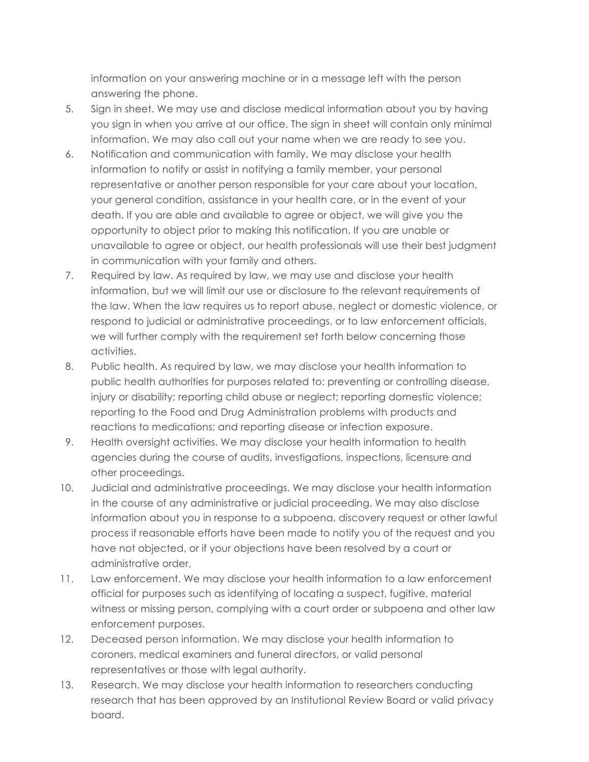information on your answering machine or in a message left with the person answering the phone.

- 5. Sign in sheet. We may use and disclose medical information about you by having you sign in when you arrive at our office. The sign in sheet will contain only minimal information. We may also call out your name when we are ready to see you.
- 6. Notification and communication with family. We may disclose your health information to notify or assist in notifying a family member, your personal representative or another person responsible for your care about your location, your general condition, assistance in your health care, or in the event of your death. If you are able and available to agree or object, we will give you the opportunity to object prior to making this notification. If you are unable or unavailable to agree or object, our health professionals will use their best judgment in communication with your family and others.
- 7. Required by law. As required by law, we may use and disclose your health information, but we will limit our use or disclosure to the relevant requirements of the law. When the law requires us to report abuse, neglect or domestic violence, or respond to judicial or administrative proceedings, or to law enforcement officials, we will further comply with the requirement set forth below concerning those activities.
- 8. Public health. As required by law, we may disclose your health information to public health authorities for purposes related to: preventing or controlling disease, injury or disability; reporting child abuse or neglect; reporting domestic violence; reporting to the Food and Drug Administration problems with products and reactions to medications; and reporting disease or infection exposure.
- 9. Health oversight activities. We may disclose your health information to health agencies during the course of audits, investigations, inspections, licensure and other proceedings.
- 10. Judicial and administrative proceedings. We may disclose your health information in the course of any administrative or judicial proceeding. We may also disclose information about you in response to a subpoena, discovery request or other lawful process if reasonable efforts have been made to notify you of the request and you have not objected, or if your objections have been resolved by a court or administrative order,
- 11. Law enforcement. We may disclose your health information to a law enforcement official for purposes such as identifying of locating a suspect, fugitive, material witness or missing person, complying with a court order or subpoena and other law enforcement purposes.
- 12. Deceased person information. We may disclose your health information to coroners, medical examiners and funeral directors, or valid personal representatives or those with legal authority.
- 13. Research. We may disclose your health information to researchers conducting research that has been approved by an Institutional Review Board or valid privacy board.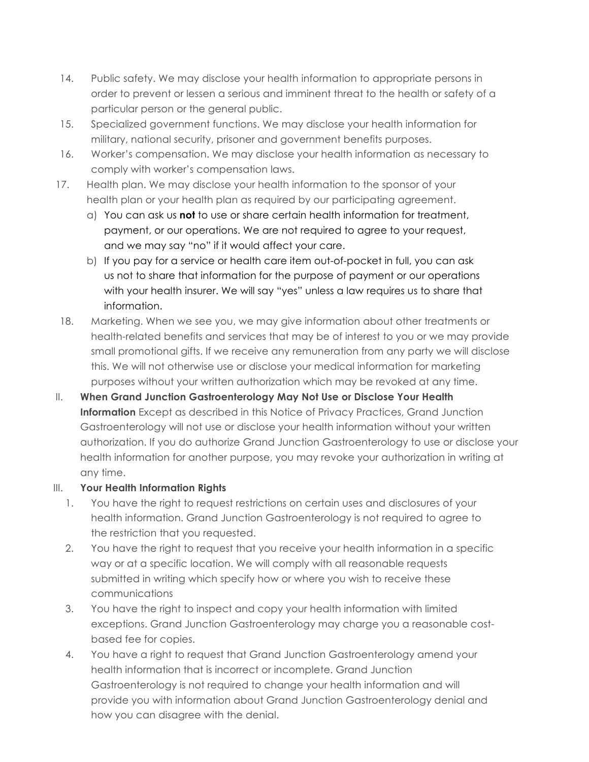- 14. Public safety. We may disclose your health information to appropriate persons in order to prevent or lessen a serious and imminent threat to the health or safety of a particular person or the general public.
- 15. Specialized government functions. We may disclose your health information for military, national security, prisoner and government benefits purposes.
- 16. Worker's compensation. We may disclose your health information as necessary to comply with worker's compensation laws.
- 17. Health plan. We may disclose your health information to the sponsor of your health plan or your health plan as required by our participating agreement.
	- a) You can ask us **not** to use or share certain health information for treatment, payment, or our operations. We are not required to agree to your request, and we may say "no" if it would affect your care.
	- b) If you pay for a service or health care item out-of-pocket in full, you can ask us not to share that information for the purpose of payment or our operations with your health insurer. We will say "yes" unless a law requires us to share that information.
- 18. Marketing. When we see you, we may give information about other treatments or health-related benefits and services that may be of interest to you or we may provide small promotional gifts. If we receive any remuneration from any party we will disclose this. We will not otherwise use or disclose your medical information for marketing purposes without your written authorization which may be revoked at any time.
- II. **When Grand Junction Gastroenterology May Not Use or Disclose Your Health Information** Except as described in this Notice of Privacy Practices, Grand Junction Gastroenterology will not use or disclose your health information without your written authorization. If you do authorize Grand Junction Gastroenterology to use or disclose your health information for another purpose, you may revoke your authorization in writing at any time.

## III. **Your Health Information Rights**

- 1. You have the right to request restrictions on certain uses and disclosures of your health information. Grand Junction Gastroenterology is not required to agree to the restriction that you requested.
- 2. You have the right to request that you receive your health information in a specific way or at a specific location. We will comply with all reasonable requests submitted in writing which specify how or where you wish to receive these communications
- 3. You have the right to inspect and copy your health information with limited exceptions. Grand Junction Gastroenterology may charge you a reasonable costbased fee for copies.
- 4. You have a right to request that Grand Junction Gastroenterology amend your health information that is incorrect or incomplete. Grand Junction Gastroenterology is not required to change your health information and will provide you with information about Grand Junction Gastroenterology denial and how you can disagree with the denial.